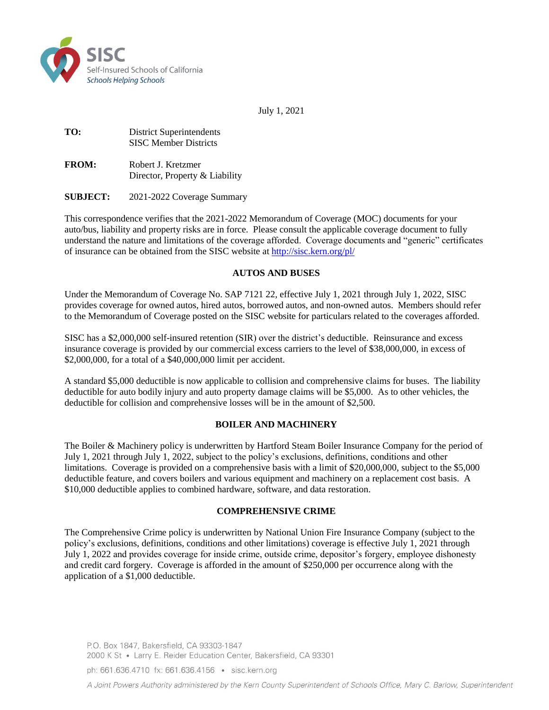

July 1, 2021

**TO:** District Superintendents SISC Member Districts

**FROM:** Robert J. Kretzmer Director, Property & Liability

**SUBJECT:** 2021-2022 Coverage Summary

This correspondence verifies that the 2021-2022 Memorandum of Coverage (MOC) documents for your auto/bus, liability and property risks are in force. Please consult the applicable coverage document to fully understand the nature and limitations of the coverage afforded. Coverage documents and "generic" certificates of insurance can be obtained from the SISC website at<http://sisc.kern.org/pl/>

#### **AUTOS AND BUSES**

Under the Memorandum of Coverage No. SAP 7121 22, effective July 1, 2021 through July 1, 2022, SISC provides coverage for owned autos, hired autos, borrowed autos, and non-owned autos. Members should refer to the Memorandum of Coverage posted on the SISC website for particulars related to the coverages afforded.

SISC has a \$2,000,000 self-insured retention (SIR) over the district's deductible. Reinsurance and excess insurance coverage is provided by our commercial excess carriers to the level of \$38,000,000, in excess of \$2,000,000, for a total of a \$40,000,000 limit per accident.

A standard \$5,000 deductible is now applicable to collision and comprehensive claims for buses. The liability deductible for auto bodily injury and auto property damage claims will be \$5,000. As to other vehicles, the deductible for collision and comprehensive losses will be in the amount of \$2,500.

## **BOILER AND MACHINERY**

The Boiler & Machinery policy is underwritten by Hartford Steam Boiler Insurance Company for the period of July 1, 2021 through July 1, 2022, subject to the policy's exclusions, definitions, conditions and other limitations. Coverage is provided on a comprehensive basis with a limit of \$20,000,000, subject to the \$5,000 deductible feature, and covers boilers and various equipment and machinery on a replacement cost basis. A \$10,000 deductible applies to combined hardware, software, and data restoration.

#### **COMPREHENSIVE CRIME**

The Comprehensive Crime policy is underwritten by National Union Fire Insurance Company (subject to the policy's exclusions, definitions, conditions and other limitations) coverage is effective July 1, 2021 through July 1, 2022 and provides coverage for inside crime, outside crime, depositor's forgery, employee dishonesty and credit card forgery. Coverage is afforded in the amount of \$250,000 per occurrence along with the application of a \$1,000 deductible.

P.O. Box 1847, Bakersfield, CA 93303-1847 2000 K St · Larry E. Reider Education Center, Bakersfield, CA 93301

ph: 661.636.4710 fx: 661.636.4156 · sisc.kern.org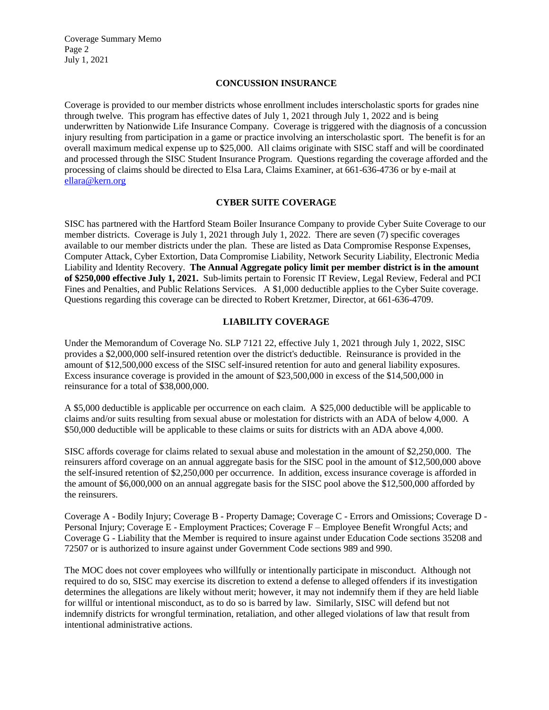Coverage Summary Memo Page 2 July 1, 2021

#### **CONCUSSION INSURANCE**

Coverage is provided to our member districts whose enrollment includes interscholastic sports for grades nine through twelve. This program has effective dates of July 1, 2021 through July 1, 2022 and is being underwritten by Nationwide Life Insurance Company. Coverage is triggered with the diagnosis of a concussion injury resulting from participation in a game or practice involving an interscholastic sport. The benefit is for an overall maximum medical expense up to \$25,000. All claims originate with SISC staff and will be coordinated and processed through the SISC Student Insurance Program. Questions regarding the coverage afforded and the processing of claims should be directed to Elsa Lara, Claims Examiner, at 661-636-4736 or by e-mail at [ellara@kern.org](mailto:ellara@kern.org)

#### **CYBER SUITE COVERAGE**

SISC has partnered with the Hartford Steam Boiler Insurance Company to provide Cyber Suite Coverage to our member districts. Coverage is July 1, 2021 through July 1, 2022. There are seven (7) specific coverages available to our member districts under the plan. These are listed as Data Compromise Response Expenses, Computer Attack, Cyber Extortion, Data Compromise Liability, Network Security Liability, Electronic Media Liability and Identity Recovery. **The Annual Aggregate policy limit per member district is in the amount of \$250,000 effective July 1, 2021.** Sub-limits pertain to Forensic IT Review, Legal Review, Federal and PCI Fines and Penalties, and Public Relations Services. A \$1,000 deductible applies to the Cyber Suite coverage. Questions regarding this coverage can be directed to Robert Kretzmer, Director, at 661-636-4709.

#### **LIABILITY COVERAGE**

Under the Memorandum of Coverage No. SLP 7121 22, effective July 1, 2021 through July 1, 2022, SISC provides a \$2,000,000 self-insured retention over the district's deductible. Reinsurance is provided in the amount of \$12,500,000 excess of the SISC self-insured retention for auto and general liability exposures. Excess insurance coverage is provided in the amount of \$23,500,000 in excess of the \$14,500,000 in reinsurance for a total of \$38,000,000.

A \$5,000 deductible is applicable per occurrence on each claim. A \$25,000 deductible will be applicable to claims and/or suits resulting from sexual abuse or molestation for districts with an ADA of below 4,000. A \$50,000 deductible will be applicable to these claims or suits for districts with an ADA above 4,000.

SISC affords coverage for claims related to sexual abuse and molestation in the amount of \$2,250,000. The reinsurers afford coverage on an annual aggregate basis for the SISC pool in the amount of \$12,500,000 above the self-insured retention of \$2,250,000 per occurrence. In addition, excess insurance coverage is afforded in the amount of \$6,000,000 on an annual aggregate basis for the SISC pool above the \$12,500,000 afforded by the reinsurers.

Coverage A - Bodily Injury; Coverage B - Property Damage; Coverage C - Errors and Omissions; Coverage D - Personal Injury; Coverage E - Employment Practices; Coverage F – Employee Benefit Wrongful Acts; and Coverage G - Liability that the Member is required to insure against under Education Code sections 35208 and 72507 or is authorized to insure against under Government Code sections 989 and 990.

The MOC does not cover employees who willfully or intentionally participate in misconduct. Although not required to do so, SISC may exercise its discretion to extend a defense to alleged offenders if its investigation determines the allegations are likely without merit; however, it may not indemnify them if they are held liable for willful or intentional misconduct, as to do so is barred by law. Similarly, SISC will defend but not indemnify districts for wrongful termination, retaliation, and other alleged violations of law that result from intentional administrative actions.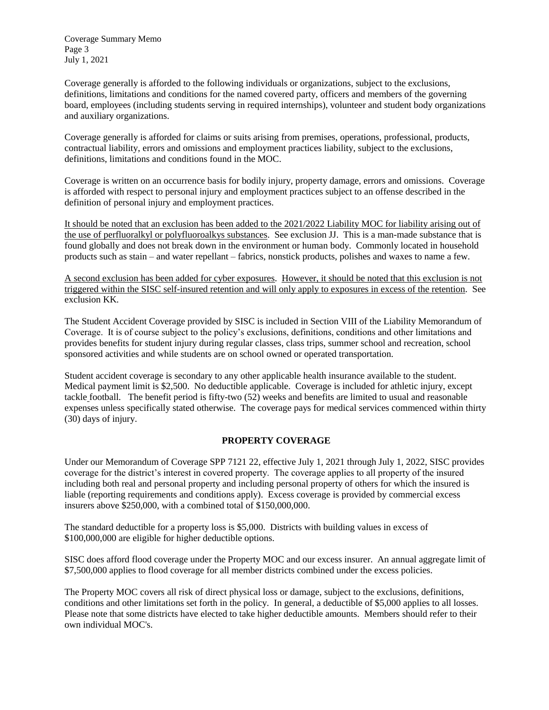Coverage Summary Memo Page 3 July 1, 2021

Coverage generally is afforded to the following individuals or organizations, subject to the exclusions, definitions, limitations and conditions for the named covered party, officers and members of the governing board, employees (including students serving in required internships), volunteer and student body organizations and auxiliary organizations.

Coverage generally is afforded for claims or suits arising from premises, operations, professional, products, contractual liability, errors and omissions and employment practices liability, subject to the exclusions, definitions, limitations and conditions found in the MOC.

Coverage is written on an occurrence basis for bodily injury, property damage, errors and omissions. Coverage is afforded with respect to personal injury and employment practices subject to an offense described in the definition of personal injury and employment practices.

It should be noted that an exclusion has been added to the 2021/2022 Liability MOC for liability arising out of the use of perfluoralkyl or polyfluoroalkys substances. See exclusion JJ. This is a man-made substance that is found globally and does not break down in the environment or human body. Commonly located in household products such as stain – and water repellant – fabrics, nonstick products, polishes and waxes to name a few.

A second exclusion has been added for cyber exposures. However, it should be noted that this exclusion is not triggered within the SISC self-insured retention and will only apply to exposures in excess of the retention. See exclusion KK.

The Student Accident Coverage provided by SISC is included in Section VIII of the Liability Memorandum of Coverage. It is of course subject to the policy's exclusions, definitions, conditions and other limitations and provides benefits for student injury during regular classes, class trips, summer school and recreation, school sponsored activities and while students are on school owned or operated transportation.

Student accident coverage is secondary to any other applicable health insurance available to the student. Medical payment limit is \$2,500. No deductible applicable. Coverage is included for athletic injury, except tackle football. The benefit period is fifty-two (52) weeks and benefits are limited to usual and reasonable expenses unless specifically stated otherwise. The coverage pays for medical services commenced within thirty (30) days of injury.

## **PROPERTY COVERAGE**

Under our Memorandum of Coverage SPP 7121 22, effective July 1, 2021 through July 1, 2022, SISC provides coverage for the district's interest in covered property. The coverage applies to all property of the insured including both real and personal property and including personal property of others for which the insured is liable (reporting requirements and conditions apply). Excess coverage is provided by commercial excess insurers above \$250,000, with a combined total of \$150,000,000.

The standard deductible for a property loss is \$5,000. Districts with building values in excess of \$100,000,000 are eligible for higher deductible options.

SISC does afford flood coverage under the Property MOC and our excess insurer. An annual aggregate limit of \$7,500,000 applies to flood coverage for all member districts combined under the excess policies.

The Property MOC covers all risk of direct physical loss or damage, subject to the exclusions, definitions, conditions and other limitations set forth in the policy. In general, a deductible of \$5,000 applies to all losses. Please note that some districts have elected to take higher deductible amounts. Members should refer to their own individual MOC's.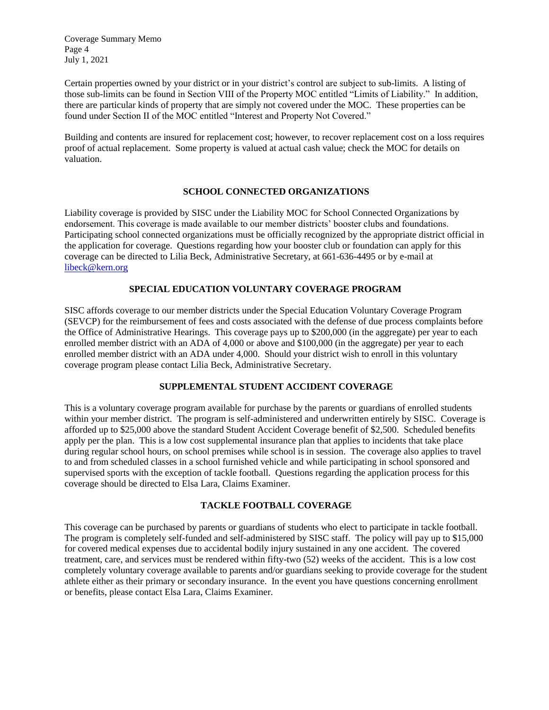Coverage Summary Memo Page 4 July 1, 2021

Certain properties owned by your district or in your district's control are subject to sub-limits. A listing of those sub-limits can be found in Section VIII of the Property MOC entitled "Limits of Liability." In addition, there are particular kinds of property that are simply not covered under the MOC. These properties can be found under Section II of the MOC entitled "Interest and Property Not Covered."

Building and contents are insured for replacement cost; however, to recover replacement cost on a loss requires proof of actual replacement. Some property is valued at actual cash value; check the MOC for details on valuation.

#### **SCHOOL CONNECTED ORGANIZATIONS**

Liability coverage is provided by SISC under the Liability MOC for School Connected Organizations by endorsement. This coverage is made available to our member districts' booster clubs and foundations. Participating school connected organizations must be officially recognized by the appropriate district official in the application for coverage. Questions regarding how your booster club or foundation can apply for this coverage can be directed to Lilia Beck, Administrative Secretary, at 661-636-4495 or by e-mail at [libeck@kern.org](mailto:libeck@kern.org)

## **SPECIAL EDUCATION VOLUNTARY COVERAGE PROGRAM**

SISC affords coverage to our member districts under the Special Education Voluntary Coverage Program (SEVCP) for the reimbursement of fees and costs associated with the defense of due process complaints before the Office of Administrative Hearings. This coverage pays up to \$200,000 (in the aggregate) per year to each enrolled member district with an ADA of 4,000 or above and \$100,000 (in the aggregate) per year to each enrolled member district with an ADA under 4,000. Should your district wish to enroll in this voluntary coverage program please contact Lilia Beck, Administrative Secretary.

## **SUPPLEMENTAL STUDENT ACCIDENT COVERAGE**

This is a voluntary coverage program available for purchase by the parents or guardians of enrolled students within your member district. The program is self-administered and underwritten entirely by SISC. Coverage is afforded up to \$25,000 above the standard Student Accident Coverage benefit of \$2,500. Scheduled benefits apply per the plan. This is a low cost supplemental insurance plan that applies to incidents that take place during regular school hours, on school premises while school is in session. The coverage also applies to travel to and from scheduled classes in a school furnished vehicle and while participating in school sponsored and supervised sports with the exception of tackle football. Questions regarding the application process for this coverage should be directed to Elsa Lara, Claims Examiner.

## **TACKLE FOOTBALL COVERAGE**

This coverage can be purchased by parents or guardians of students who elect to participate in tackle football. The program is completely self-funded and self-administered by SISC staff. The policy will pay up to \$15,000 for covered medical expenses due to accidental bodily injury sustained in any one accident. The covered treatment, care, and services must be rendered within fifty-two (52) weeks of the accident. This is a low cost completely voluntary coverage available to parents and/or guardians seeking to provide coverage for the student athlete either as their primary or secondary insurance. In the event you have questions concerning enrollment or benefits, please contact Elsa Lara, Claims Examiner.